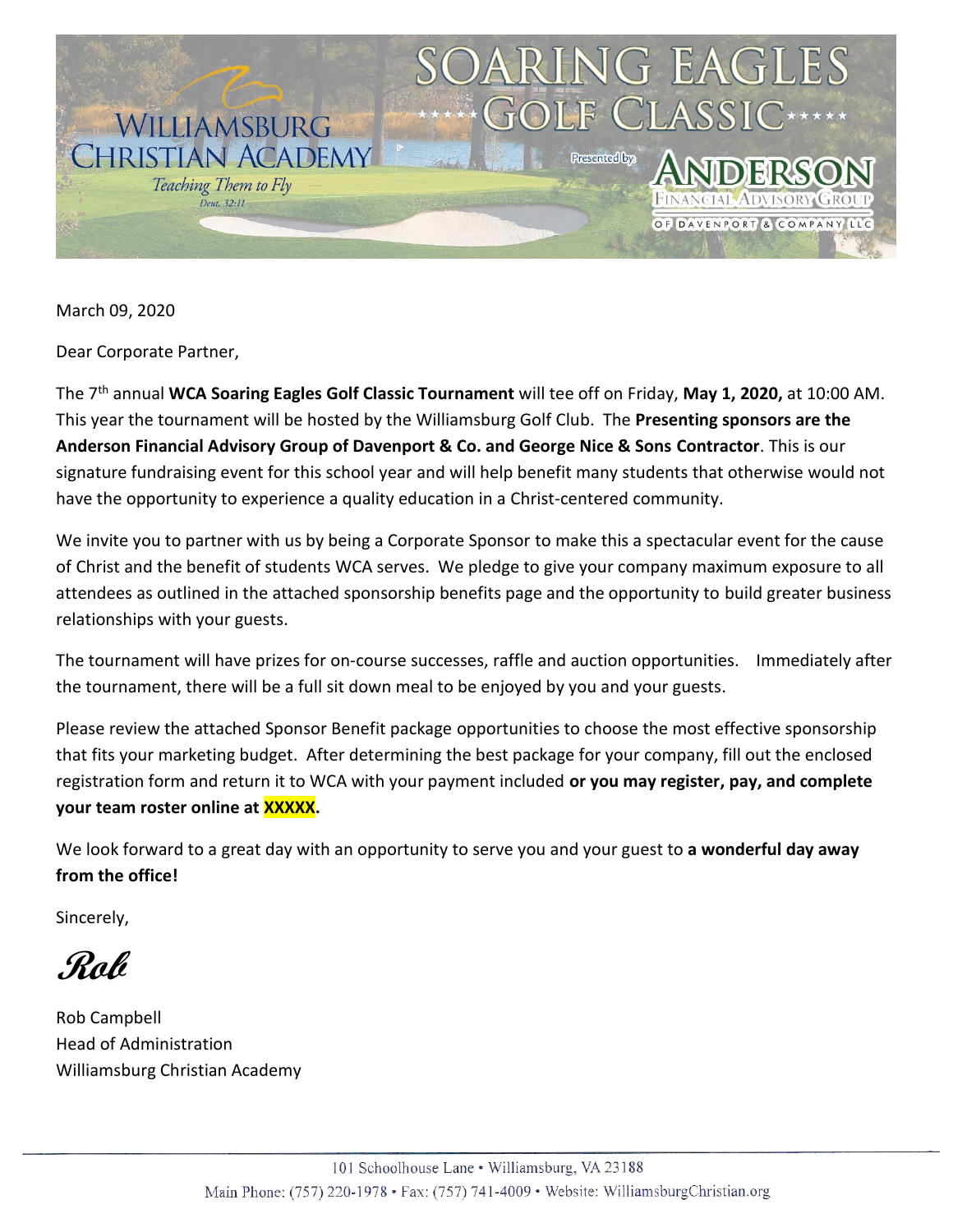

March 09, 2020

Dear Corporate Partner,

The 7th annual **WCA Soaring Eagles Golf Classic Tournament** will tee off on Friday, **May 1, 2020,** at 10:00 AM. This year the tournament will be hosted by the Williamsburg Golf Club. The **Presenting sponsors are the Anderson Financial Advisory Group of Davenport & Co. and George Nice & Sons Contractor**. This is our signature fundraising event for this school year and will help benefit many students that otherwise would not have the opportunity to experience a quality education in a Christ-centered community.

We invite you to partner with us by being a Corporate Sponsor to make this a spectacular event for the cause of Christ and the benefit of students WCA serves. We pledge to give your company maximum exposure to all attendees as outlined in the attached sponsorship benefits page and the opportunity to build greater business relationships with your guests.

The tournament will have prizes for on-course successes, raffle and auction opportunities. Immediately after the tournament, there will be a full sit down meal to be enjoyed by you and your guests.

Please review the attached Sponsor Benefit package opportunities to choose the most effective sponsorship that fits your marketing budget. After determining the best package for your company, fill out the enclosed registration form and return it to WCA with your payment included **or you may register, pay, and complete your team roster online at XXXXX.**

We look forward to a great day with an opportunity to serve you and your guest to **a wonderful day away from the office!**

Sincerely,

**Rob**

Rob Campbell Head of Administration Williamsburg Christian Academy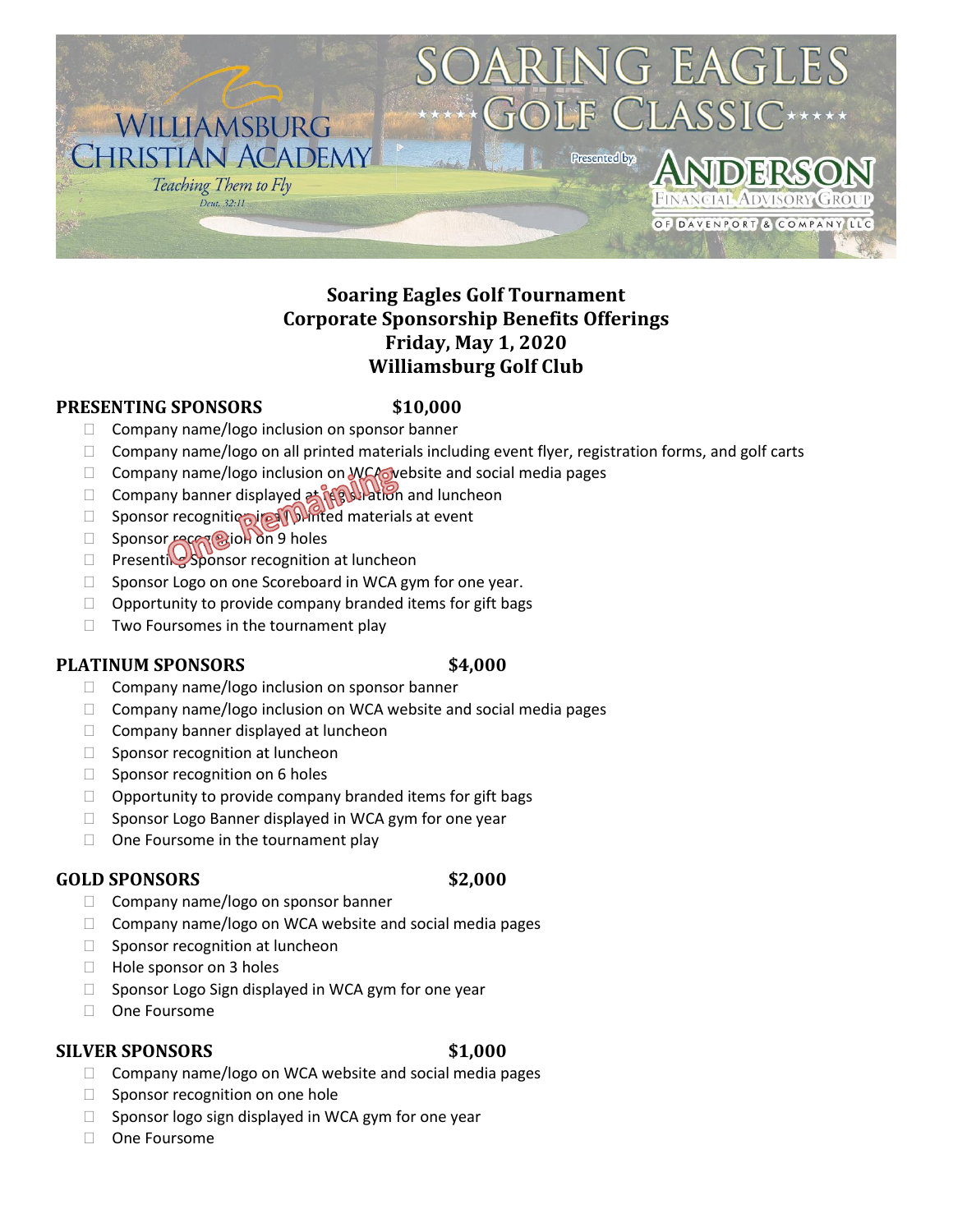

## **Soaring Eagles Golf Tournament Corporate Sponsorship Benefits Offerings Friday, May 1, 2020 Williamsburg Golf Club**

#### **PRESENTING SPONSORS \$10,000**

- $\Box$  Company name/logo inclusion on sponsor banner
- $\Box$  Company name/logo on all printed materials including event flyer, registration forms, and golf carts
- $\Box$  Company name/logo inclusion on WCA website and social media pages
- □ Company banner displayed at registration and luncheon
- □ Sponsor recognition in **All printed materials at event**
- $\Box$  Sponsor recognition on 9 holes
- $\Box$  Presenting Sponsor recognition at luncheon
- $\Box$  Sponsor Logo on one Scoreboard in WCA gym for one year.
- $\Box$  Opportunity to provide company branded items for gift bags
- $\Box$  Two Foursomes in the tournament play

### **PLATINUM SPONSORS \$4,000**

- $\Box$  Company name/logo inclusion on sponsor banner
- $\Box$  Company name/logo inclusion on WCA website and social media pages
- $\Box$  Company banner displayed at luncheon
- $\Box$  Sponsor recognition at luncheon
- $\Box$  Sponsor recognition on 6 holes
- $\Box$  Opportunity to provide company branded items for gift bags
- $\Box$  Sponsor Logo Banner displayed in WCA gym for one year
- $\Box$  One Foursome in the tournament play

## **GOLD SPONSORS \$2,000**

- $\Box$  Company name/logo on sponsor banner
- $\Box$  Company name/logo on WCA website and social media pages
- $\Box$  Sponsor recognition at luncheon
- □ Hole sponsor on 3 holes
- $\Box$  Sponsor Logo Sign displayed in WCA gym for one year
- □ One Foursome

### **SILVER SPONSORS \$1,000**

- $\Box$  Company name/logo on WCA website and social media pages
- $\Box$  Sponsor recognition on one hole
- $\Box$  Sponsor logo sign displayed in WCA gym for one year
- □ One Foursome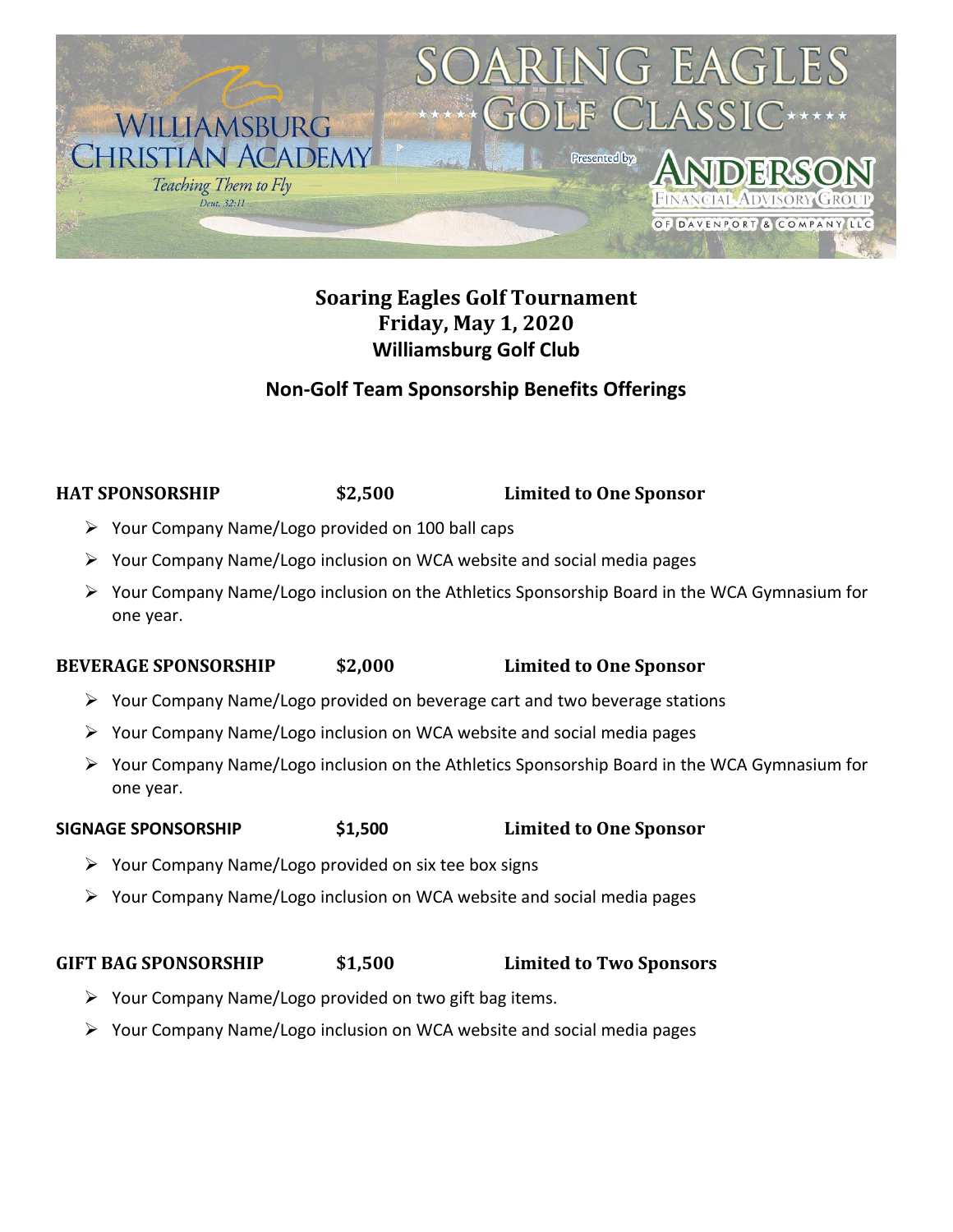

# **Soaring Eagles Golf Tournament Friday, May 1, 2020 Williamsburg Golf Club**

## **Non-Golf Team Sponsorship Benefits Offerings**

**HAT SPONSORSHIP \$2,500 Limited to One Sponsor**

- ➢ Your Company Name/Logo provided on 100 ball caps
- ➢ Your Company Name/Logo inclusion on WCA website and social media pages
- ➢ Your Company Name/Logo inclusion on the Athletics Sponsorship Board in the WCA Gymnasium for one year.

## **BEVERAGE SPONSORSHIP \$2,000 Limited to One Sponsor**

- ➢ Your Company Name/Logo provided on beverage cart and two beverage stations
- ➢ Your Company Name/Logo inclusion on WCA website and social media pages
- ➢ Your Company Name/Logo inclusion on the Athletics Sponsorship Board in the WCA Gymnasium for one year.

## **SIGNAGE SPONSORSHIP \$1,500 Limited to One Sponsor**

- ➢ Your Company Name/Logo provided on six tee box signs
- ➢ Your Company Name/Logo inclusion on WCA website and social media pages

## **GIFT BAG SPONSORSHIP \$1,500 Limited to Two Sponsors**

- $\triangleright$  Your Company Name/Logo provided on two gift bag items.
- ➢ Your Company Name/Logo inclusion on WCA website and social media pages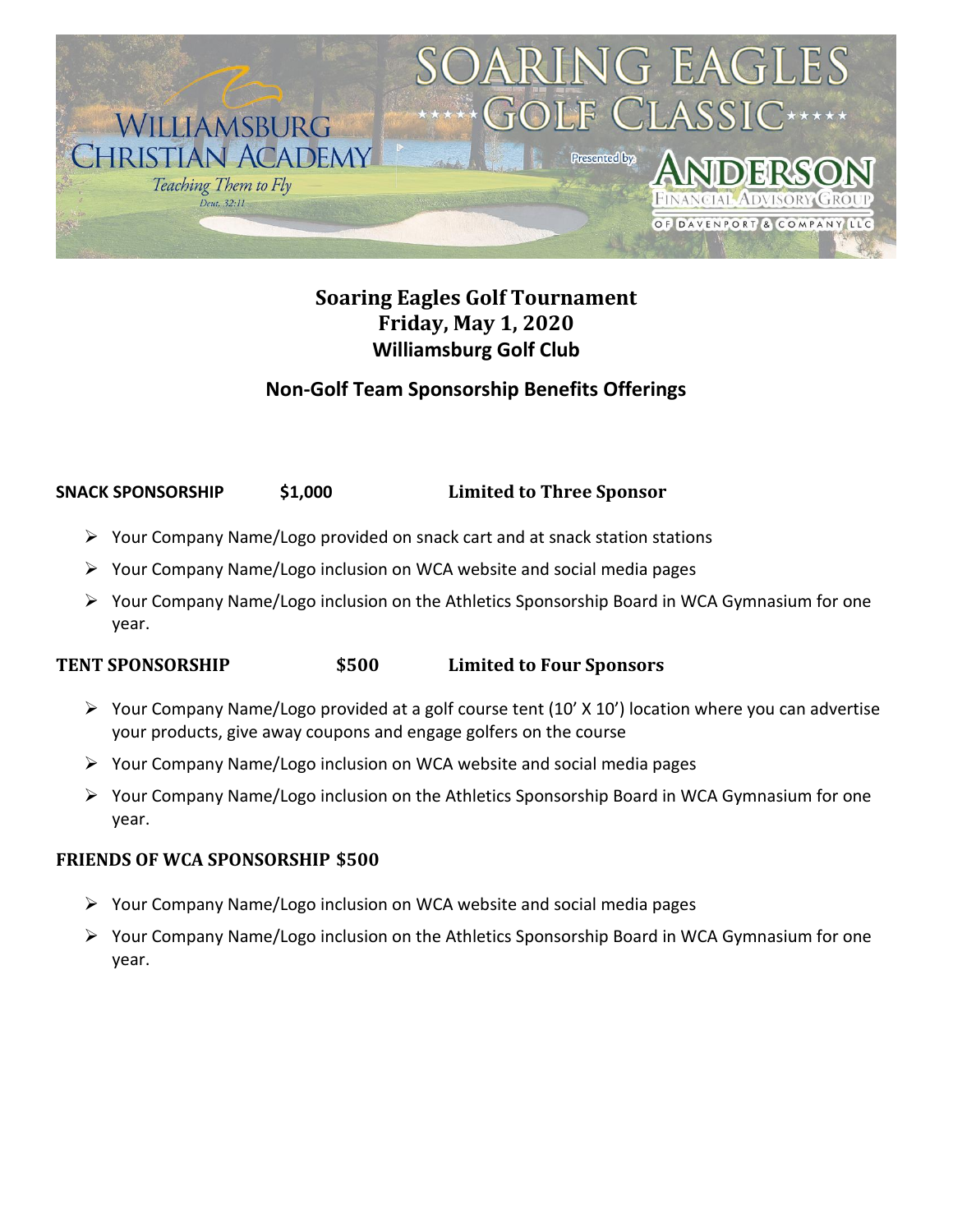

# **Soaring Eagles Golf Tournament Friday, May 1, 2020 Williamsburg Golf Club**

## **Non-Golf Team Sponsorship Benefits Offerings**

## **SNACK SPONSORSHIP \$1,000 Limited to Three Sponsor**

- $\triangleright$  Your Company Name/Logo provided on snack cart and at snack station stations
- ➢ Your Company Name/Logo inclusion on WCA website and social media pages
- ➢ Your Company Name/Logo inclusion on the Athletics Sponsorship Board in WCA Gymnasium for one year.

### **TENT SPONSORSHIP \$500 Limited to Four Sponsors**

- ➢ Your Company Name/Logo provided at a golf course tent (10' X 10') location where you can advertise your products, give away coupons and engage golfers on the course
- $\triangleright$  Your Company Name/Logo inclusion on WCA website and social media pages
- ➢ Your Company Name/Logo inclusion on the Athletics Sponsorship Board in WCA Gymnasium for one year.

## **FRIENDS OF WCA SPONSORSHIP \$500**

- $\triangleright$  Your Company Name/Logo inclusion on WCA website and social media pages
- $\triangleright$  Your Company Name/Logo inclusion on the Athletics Sponsorship Board in WCA Gymnasium for one year.